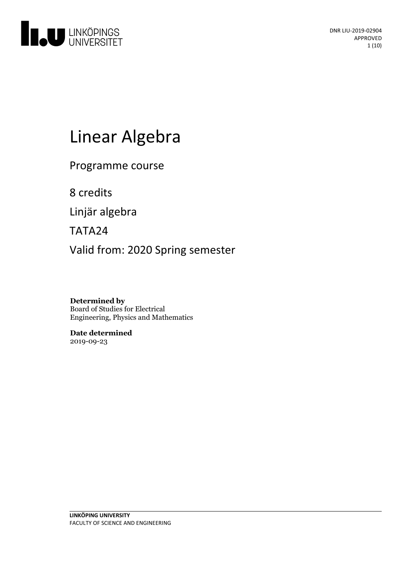

# Linear Algebra

Programme course

8 credits

Linjär algebra

TATA24

Valid from: 2020 Spring semester

**Determined by** Board of Studies for Electrical Engineering, Physics and Mathematics

**Date determined** 2019-09-23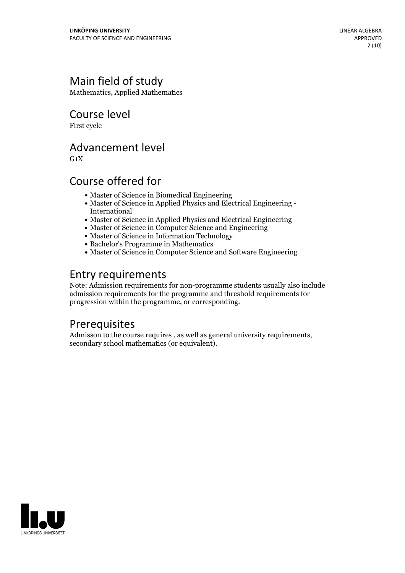# Main field of study

Mathematics, Applied Mathematics

Course level

First cycle

### Advancement level

 $G_1X$ 

# Course offered for

- Master of Science in Biomedical Engineering
- Master of Science in Applied Physics and Electrical Engineering International
- Master of Science in Applied Physics and Electrical Engineering
- Master of Science in Computer Science and Engineering
- Master of Science in Information Technology
- Bachelor's Programme in Mathematics
- Master of Science in Computer Science and Software Engineering

## Entry requirements

Note: Admission requirements for non-programme students usually also include admission requirements for the programme and threshold requirements for progression within the programme, or corresponding.

### Prerequisites

Admisson to the course requires , as well as general university requirements, secondary school mathematics (or equivalent).

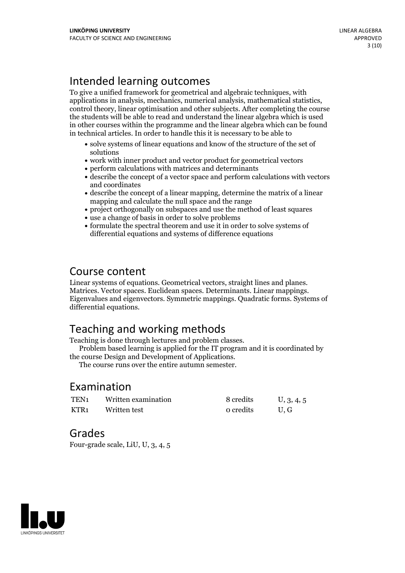# Intended learning outcomes

To give a unified framework for geometrical and algebraic techniques, with applications in analysis, mechanics, numerical analysis, mathematical statistics, control theory, linear optimisation and other subjects. After completing the course the students will be able to read and understand the linear algebra which is used in other courses within the programme and the linear algebra which can be found in technical articles. In order to handle this it is necessary to be able to

- solve systems of linear equations and know of the structure of the set of solutions
- work with inner product and vector product for geometrical vectors
- perform calculations with matrices and determinants
- describe the concept of a vector space and perform calculations with vectors and coordinates
- describe the concept of a linear mapping, determine the matrix of a linear mapping and calculate the null space and the range
- project orthogonally on subspaces and use the method of least squares
- use a change of basis in order to solve problems
- formulate the spectral theorem and use it in order to solve systems of differential equations and systems of difference equations

# Course content

Linear systems of equations. Geometrical vectors, straight lines and planes.<br>Matrices. Vector spaces. Euclidean spaces. Determinants. Linear mappings.<br>Eigenvalues and eigenvectors. Symmetric mappings. Quadratic forms. Syst differential equations.

# Teaching and working methods<br>Teaching is done through lectures and problem classes.

Problem based learning is applied for the IT program and it is coordinated by the course Design and Development of Applications. The course runs over the entire autumn semester.

### Examination

| TEN1 | Written examination | 8 credits | U, 3, 4, 5 |
|------|---------------------|-----------|------------|
| KTR1 | Written test        | o credits | U.G        |

### Grades

Four-grade scale, LiU, U, 3, 4, 5

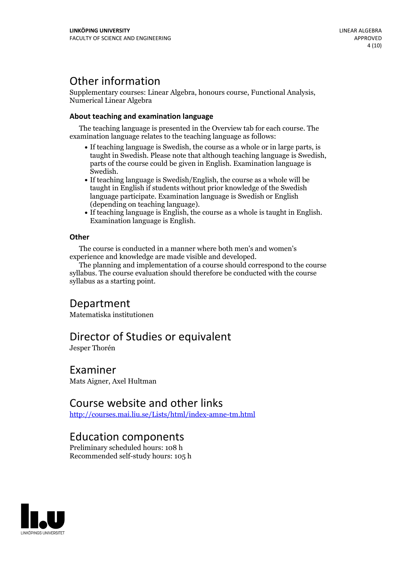# Other information

Supplementary courses: Linear Algebra, honours course, Functional Analysis, Numerical Linear Algebra

#### **About teaching and examination language**

The teaching language is presented in the Overview tab for each course. The examination language relates to the teaching language as follows:

- If teaching language is Swedish, the course as a whole or in large parts, is taught in Swedish. Please note that although teaching language is Swedish, parts of the course could be given in English. Examination language is Swedish.<br>• If teaching language is Swedish/English, the course as a whole will be
- taught in English if students without prior knowledge of the Swedish language participate. Examination language is Swedish or English
- $\bullet$  If teaching language is English, the course as a whole is taught in English. Examination language is English.

#### **Other**

The course is conducted in a manner where both men's and women's

The planning and implementation of a course should correspond to the course syllabus. The course evaluation should therefore be conducted with the course syllabus as a starting point.

### Department

Matematiska institutionen

### Director of Studies or equivalent

Jesper Thorén

### Examiner

Mats Aigner, Axel Hultman

## Course website and other links

<http://courses.mai.liu.se/Lists/html/index-amne-tm.html>

### Education components

Preliminary scheduled hours: 108 h Recommended self-study hours: 105 h

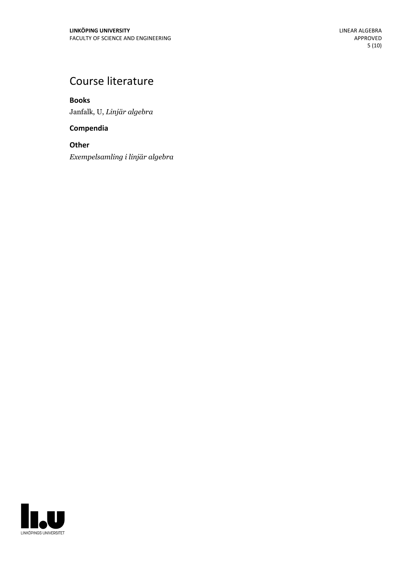# Course literature

**Books** Janfalk, U, *Linjär algebra*

**Compendia**

**Other** *Exempelsamling i linjär algebra*

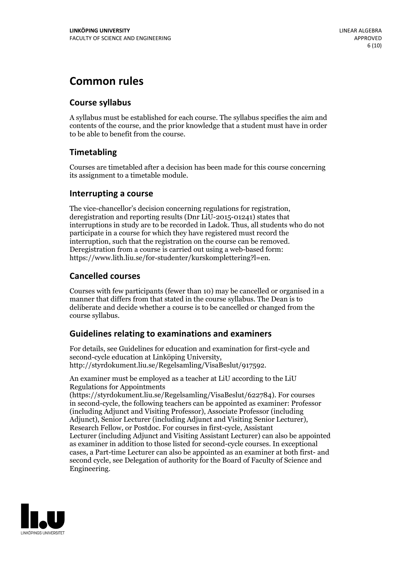# **Common rules**

#### **Course syllabus**

A syllabus must be established for each course. The syllabus specifies the aim and contents of the course, and the prior knowledge that a student must have in order to be able to benefit from the course.

### **Timetabling**

Courses are timetabled after a decision has been made for this course concerning its assignment to a timetable module.

#### **Interrupting a course**

The vice-chancellor's decision concerning regulations for registration, deregistration and reporting results (Dnr LiU-2015-01241) states that interruptions in study are to be recorded in Ladok. Thus, all students who do not participate in a course for which they have registered must record the interruption, such that the registration on the course can be removed. Deregistration from <sup>a</sup> course is carried outusing <sup>a</sup> web-based form: https://www.lith.liu.se/for-studenter/kurskomplettering?l=en.

### **Cancelled courses**

Courses with few participants (fewer than 10) may be cancelled or organised in a manner that differs from that stated in the course syllabus. The Dean is to deliberate and decide whether a course is to be cancelled or changed from the course syllabus.

### **Guidelines relatingto examinations and examiners**

For details, see Guidelines for education and examination for first-cycle and second-cycle education at Linköping University, http://styrdokument.liu.se/Regelsamling/VisaBeslut/917592.

An examiner must be employed as a teacher at LiU according to the LiU Regulations for Appointments

(https://styrdokument.liu.se/Regelsamling/VisaBeslut/622784). For courses in second-cycle, the following teachers can be appointed as examiner: Professor (including Adjunct and Visiting Professor), Associate Professor (including Adjunct), Senior Lecturer (including Adjunct and Visiting Senior Lecturer), Research Fellow, or Postdoc. For courses in first-cycle, Assistant Lecturer (including Adjunct and Visiting Assistant Lecturer) can also be appointed as examiner in addition to those listed for second-cycle courses. In exceptional cases, a Part-time Lecturer can also be appointed as an examiner at both first- and second cycle, see Delegation of authority for the Board of Faculty of Science and Engineering.

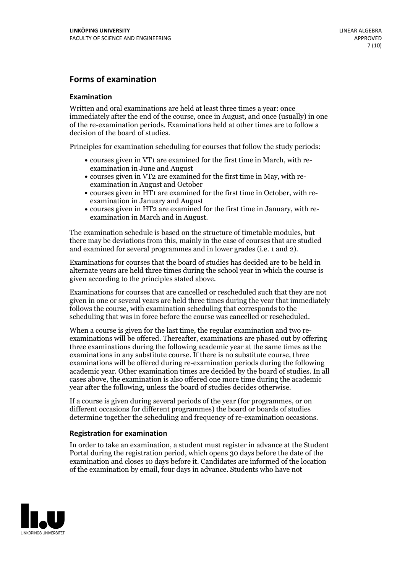#### **Forms of examination**

#### **Examination**

Written and oral examinations are held at least three times a year: once immediately after the end of the course, once in August, and once (usually) in one of the re-examination periods. Examinations held at other times are to follow a decision of the board of studies.

Principles for examination scheduling for courses that follow the study periods:

- courses given in VT1 are examined for the first time in March, with re-examination in June and August
- courses given in VT2 are examined for the first time in May, with re-examination in August and October
- courses given in HT1 are examined for the first time in October, with re-examination in January and August
- courses given in HT2 are examined for the first time in January, with re-examination in March and in August.

The examination schedule is based on the structure of timetable modules, but there may be deviations from this, mainly in the case of courses that are studied and examined for several programmes and in lower grades (i.e. 1 and 2).

Examinations for courses that the board of studies has decided are to be held in alternate years are held three times during the school year in which the course is given according to the principles stated above.

Examinations for courses that are cancelled orrescheduled such that they are not given in one or several years are held three times during the year that immediately follows the course, with examination scheduling that corresponds to the scheduling that was in force before the course was cancelled or rescheduled.

When a course is given for the last time, the regular examination and two re-<br>examinations will be offered. Thereafter, examinations are phased out by offering three examinations during the following academic year at the same times as the examinations in any substitute course. If there is no substitute course, three examinations will be offered during re-examination periods during the following academic year. Other examination times are decided by the board of studies. In all cases above, the examination is also offered one more time during the academic year after the following, unless the board of studies decides otherwise.

If a course is given during several periods of the year (for programmes, or on different occasions for different programmes) the board or boards of studies determine together the scheduling and frequency of re-examination occasions.

#### **Registration for examination**

In order to take an examination, a student must register in advance at the Student Portal during the registration period, which opens 30 days before the date of the examination and closes 10 days before it. Candidates are informed of the location of the examination by email, four days in advance. Students who have not

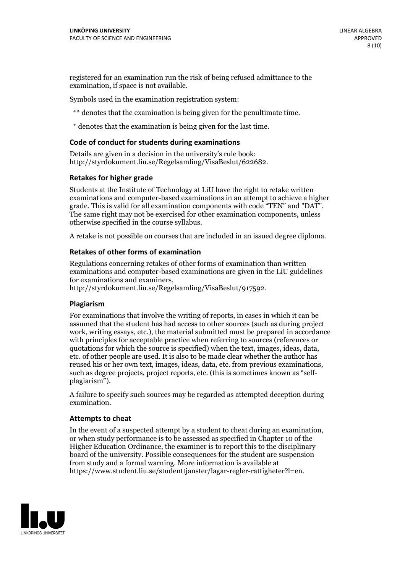registered for an examination run the risk of being refused admittance to the examination, if space is not available.

Symbols used in the examination registration system:

\*\* denotes that the examination is being given for the penultimate time.

\* denotes that the examination is being given for the last time.

#### **Code of conduct for students during examinations**

Details are given in a decision in the university's rule book: http://styrdokument.liu.se/Regelsamling/VisaBeslut/622682.

#### **Retakes for higher grade**

Students at the Institute of Technology at LiU have the right to retake written examinations and computer-based examinations in an attempt to achieve a higher grade. This is valid for all examination components with code "TEN" and "DAT". The same right may not be exercised for other examination components, unless otherwise specified in the course syllabus.

A retake is not possible on courses that are included in an issued degree diploma.

#### **Retakes of other forms of examination**

Regulations concerning retakes of other forms of examination than written examinations and computer-based examinations are given in the LiU guidelines

http://styrdokument.liu.se/Regelsamling/VisaBeslut/917592.

#### **Plagiarism**

For examinations that involve the writing of reports, in cases in which it can be assumed that the student has had access to other sources (such as during project work, writing essays, etc.), the material submitted must be prepared in accordance with principles for acceptable practice when referring to sources (references or quotations for which the source is specified) when the text, images, ideas, data,  $\vec{e}$  etc. of other people are used. It is also to be made clear whether the author has reused his or her own text, images, ideas, data, etc. from previous examinations, such as degree projects, project reports, etc. (this is sometimes known as "self- plagiarism").

A failure to specify such sources may be regarded as attempted deception during examination.

#### **Attempts to cheat**

In the event of <sup>a</sup> suspected attempt by <sup>a</sup> student to cheat during an examination, or when study performance is to be assessed as specified in Chapter <sup>10</sup> of the Higher Education Ordinance, the examiner is to report this to the disciplinary board of the university. Possible consequences for the student are suspension from study and a formal warning. More information is available at https://www.student.liu.se/studenttjanster/lagar-regler-rattigheter?l=en.

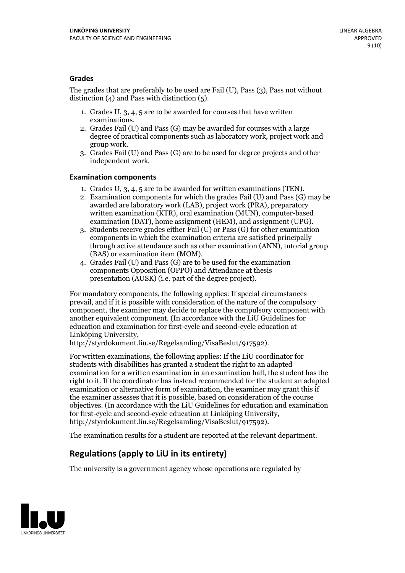#### **Grades**

The grades that are preferably to be used are Fail (U), Pass (3), Pass not without distinction  $(4)$  and Pass with distinction  $(5)$ .

- 1. Grades U, 3, 4, 5 are to be awarded for courses that have written
- examinations. 2. Grades Fail (U) and Pass (G) may be awarded for courses with <sup>a</sup> large degree of practical components such as laboratory work, project work and group work. 3. Grades Fail (U) and Pass (G) are to be used for degree projects and other
- independent work.

#### **Examination components**

- 
- 1. Grades U, 3, 4, <sup>5</sup> are to be awarded for written examinations (TEN). 2. Examination components for which the grades Fail (U) and Pass (G) may be awarded are laboratory work (LAB), project work (PRA), preparatory written examination (KTR), oral examination (MUN), computer-based
- examination (DAT), home assignment (HEM), and assignment (UPG). 3. Students receive grades either Fail (U) or Pass (G) for other examination components in which the examination criteria are satisfied principally through active attendance such as other examination (ANN), tutorial group
- (BAS) or examination item (MOM). 4. Grades Fail (U) and Pass (G) are to be used for the examination components Opposition (OPPO) and Attendance at thesis presentation (AUSK) (i.e. part of the degree project).

For mandatory components, the following applies: If special circumstances prevail, and if it is possible with consideration of the nature of the compulsory component, the examiner may decide to replace the compulsory component with another equivalent component. (In accordance with the LiU Guidelines for education and examination for first-cycle and second-cycle education at Linköping University, http://styrdokument.liu.se/Regelsamling/VisaBeslut/917592).

For written examinations, the following applies: If the LiU coordinator for students with disabilities has granted a student the right to an adapted examination for a written examination in an examination hall, the student has the right to it. If the coordinator has instead recommended for the student an adapted examination or alternative form of examination, the examiner may grant this if the examiner assesses that it is possible, based on consideration of the course objectives. (In accordance with the LiU Guidelines for education and examination for first-cycle and second-cycle education at Linköping University, http://styrdokument.liu.se/Regelsamling/VisaBeslut/917592).

The examination results for a student are reported at the relevant department.

### **Regulations (applyto LiU in its entirety)**

The university is a government agency whose operations are regulated by